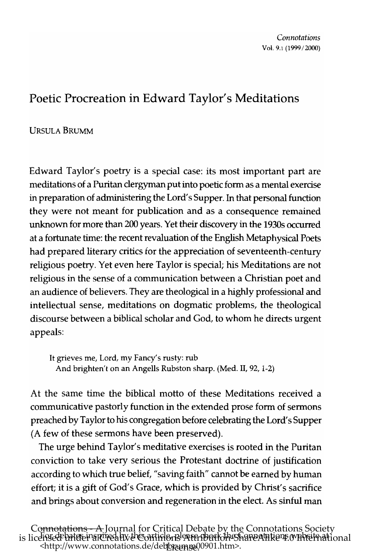## Poetic Procreation in Edward Taylor's Meditations

## URSULA BRUMM

Edward Taylor's poetry is a special case: its most important part are meditations of a Puritan clergyman put into poetic form as a mental exercise in preparation of administering the Lord's Supper. In that personal function they were not meant for publication and as a consequence remained unknown for more than 200 years. Yet their discovery in the 1930s occurred at a fortunate time: the recent revaluation of the English Metaphysical Poets had prepared literary critics for the appreciation of seventeenth-century religious poetry. Yet even here Taylor is special; his Meditations are not religious in the sense of a communication between a Christian poet and an audience of believers. They are theological in a highly professional and intellectual sense, meditations on dogmatic problems, the theological discourse between a biblical scholar and God, to whom he directs urgent appeals:

It grieves me, Lord, my Fancy's rusty: rub And brighten't on an Angells Rubston sharp. (Med. II, 92, 1-2)

At the same time the biblical motto of these Meditations received a communicative pastorly function in the extended prose form of sermons preached by Taylor to his congregation before celebrating the Lord's Supper (A few of these sermons have been preserved).

The urge behind Taylor's meditative exercises is rooted in the Puritan conviction to take very serious the Protestant doctrine of justification according to which true belief, "saving faith" cannot be earned by human effort; it is a gift of God's Grace, which is provided by Christ's sacrifice and brings about conversion and regeneration in the elect. As sinful man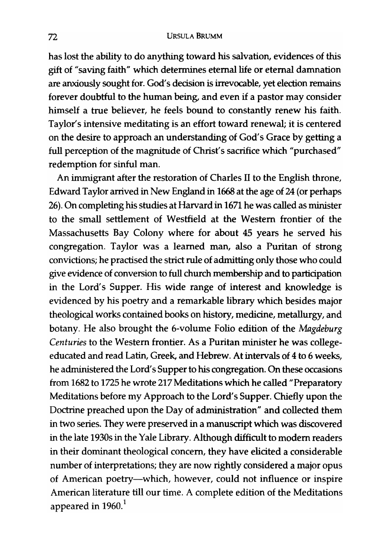has lost the ability to do anything toward his salvation, evidences of this gift of "saving faith" which determines eternal life or eternal damnation are anxiously sought for. God's decision is irrevocable, yet election remains forever doubtful to the human being, and even if a pastor may consider himself a true believer, he feels bound to constantly renew his faith. Taylor's intensive meditating is an effort toward renewal; it is centered on the desire to approach an understanding of God's Grace by getting a full perception of the magnitude of Christ's sacrifice which "purchased" redemption for sinful man.

An immigrant after the restoration of Charles 11 to the English throne, Edward Taylor arrived in New England in 1668 at the age of 24 (or perhaps 26). On completing his studies at Harvard in 1671 he was called as minister to the small settlement of Westfield at the Western frontier of the Massachusetts Bay Colony where for about 45 years he served his congregation. Taylor was a learned man, also a Puritan of strong convictions; he practised the strict rule of admitting only those who could give evidence of conversion to full church membership and to participation in the Lord's Supper. His wide range of interest and knowledge is evidenced by his poetry and a remarkable library which besides major theological works contained books on history, medicine, metallurgy, and botany. He also brought the 6-volume Folio edition of the *Magdeburg Centuries* to the Western frontier. As a Puritan minister he was collegeeducated and read Latin, Greek, and Hebrew. At intervals of 4 to 6 weeks, he administered the Lord's Supper to his congregation. On these occasions from 1682 to 1725 he wrote 217 Meditations which he called "Preparatory Meditations before my Approach to the Lord's Supper. Chiefly upon the Doctrine preached upon the Day of administration" and collected them in two series. They were preserved in a manuscript which was discovered in the late 1930s in the Yale Library. Although difficult to modem readers in their dominant theological concern, they have elidted a considerable number of interpretations; they are now rightly considered a major opus of American poetry-which, however, could not influence or inspire American literature till our time. A complete edition of the Meditations appeared in  $1960<sup>1</sup>$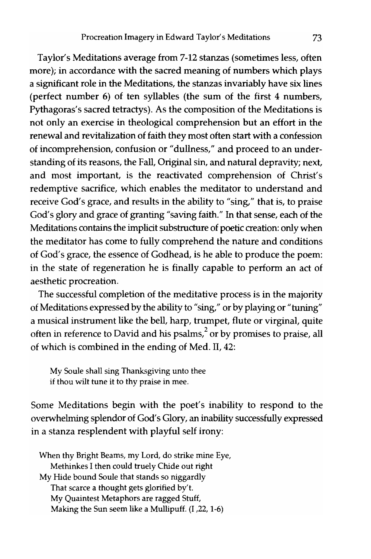Taylor's Meditations average from 7-12 stanzas (sometimes less, often more); in accordance with the sacred meaning of numbers which plays a significant role in the Meditations, the stanzas invariably have six lines (perfect number 6) of ten syllables (the sum of the first 4 numbers, Pythagoras's sacred tetractys). As the composition of the Meditations is not only an exerdse in theological comprehension but an effort in the renewal and revitalization of faith they most often start with a confession of incomprehension, confusion or "dullness," and proceed to an understanding of its reasons, the Fall, Original sin, and natural depravity; next, and most important, is the reactivated comprehension of Christ's redemptive sacrifice, which enables the meditator to understand and receive God's grace, and results in the ability to "sing," that is, to praise God's glory and grace of granting "saving faith." In that sense, each of the Meditations contains the implicit substructure of poetic creation: only when the meditator has come to fully comprehend the nature and conditions of God's grace, the essence of Godhead, is he able to produce the poem: in the state of regeneration he is finally capable to perform an act of aesthetic procreation.

The successful completion of the meditative process is in the majority of Meditations expressed by the ability to "sing," or by playing or "tuning" a musical instrument like the bell, harp, trumpet, flute or virginal, quite often in reference to David and his psalms, $<sup>2</sup>$  or by promises to praise, all</sup> of which is combined in the ending of Med. Il, 42:

My Soule shall sing Thanksgiving unto thee if thou wilt tune it to thy praise in mee.

Some Meditations begin with the poet's inability to respond to the overwhelming splendor of God's Glory, an inability successfully expressed in a stanza resplendent with playful self irony:

When thy Bright Beams, my Lord, do strike mine Eye, Methinkes I then could truely Chide out right My Hide bound Soule that stands so niggardly That scarce a thought gets glorified by't. My Quaintest Metaphors are ragged Stuff, Making the Sun seem like a Mullipuff. (I, 22, 1-6)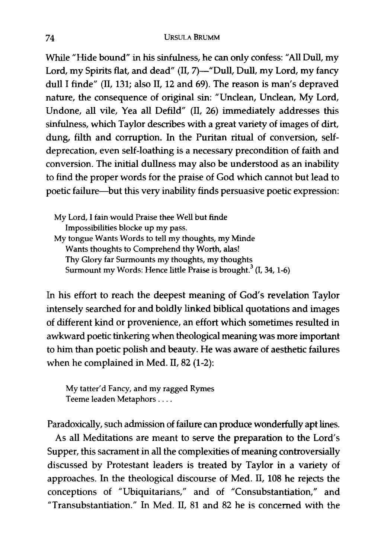While "Hide bound" in his sinfulness, he can only confess: "All Dull, my Lord, my Spirits flat, and dead" (II, 7)-"Dull, Dull, my Lord, my fancy dull I finde" (II, 131; also II, 12 and 69). The reason is man's depraved nature, the consequence of original sin: "Unclean, Unclean, My Lord, Undone, all vile, Yea all Defild" (11, 26) immediately addresses this sinfulness, which Taylor describes with a great variety of images of dirt, dung, filth and corruption. In the Puritan ritual of conversion, selfdeprecation, even self-loathing is a necessary precondition of faith and conversion. The initial dullness may also be understood as an inability to find the proper words for the praise of God which cannot but lead to poetic failure-but this very inability finds persuasive poetic expression:

My Lord, I fainwould Praise thee Well but finde Impossibilities blocke up my pass. My tongue Wants Words to tell my thoughts, my Minde Wants thoughts to Comprehend thy Worth, alas! Thy Glory far Surmounts my thoughts, my thoughts Surmount my Words: Hence little Praise is brought.<sup>3</sup> (I, 34, 1-6)

In his effort to reach the deepest meaning of God's revelation Taylor intensely searched for and boldly linked biblical quotations and images of different kind or provenience, an effort which sometimes resulted in awkward poetic tinkering when theological meaning was more important to him than poetic polish and beauty. He was aware of aesthetic failures when he complained in Med. II, 82 (1-2):

My tatter'd Fancy, and my ragged Rymes Teeme leaden Metaphors ....

Paradoxically, such admission of failure can produce wonderfully apt lines.

As all Meditations are meant to serve the preparation to the Lord's Supper, this sacrament in all the complexities of meaning controversially discussed by Protestant leaders is treated by Taylor in a variety of approaches. In the theological discourse of Med. 11, 108 he rejects the conceptions of "Ubiquitarians," and of "Consubstantiation," and "Transubstantiation." In Med. 11, 81 and 82 he is concerned with the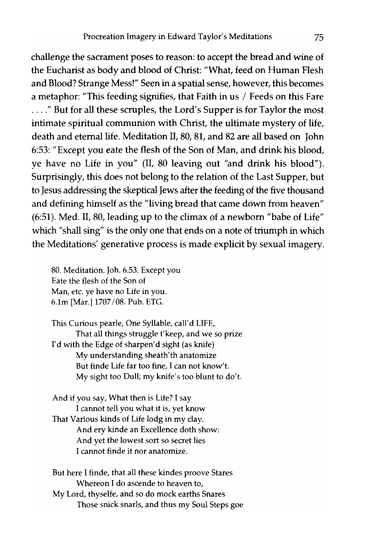challenge the sacrament poses to reason: to accept the bread and wine of the Eucharist as body and blood of Christ: "What, feed on Human Flesh and Blood? Strange Mess!" Seen in a spatial sense, however, this becomes a metaphor: "This feeding signifies, that Faith in us / Feeds on this Fare .... " But for all these scruples, the Lord's Supper is for Taylor the most intimate spiritual communion with Christ, the ultimate mystery of life, death and eternal life. Meditation Il, 80, 81, and 82 are all based on John 6:53: "Except you eate the flesh of the Son of Man, and drink his blood, ye have no Life in you" (Il, 80 leaving out "and drink his blood"). Surprisingly, this does not belong to the relation of the Last Supper, but to Jesus addressing the skeptical Jews after the feeding of the five thousand and defining himself as the "living bread that came down from heaven" (6:51). Med. Il, 80, leading up to the climax of a newborn "babe of Life" which "shall sing" is the only one that ends on a note of triumph in which the Meditations' generative process is made explicit by sexual imagery.

80. Meditation. Joh. 6.53. Except you Eate the flesh of the Son of Man, etc. ye have no Life in you. 6.1m [Mar.] 1707 /08. Pub. ETC.

This Curious pearle, One Syllable, call'd LIFE, That all things struggle t'keep, and we so prize I'd with the Edge of sharpen'd sight (as knife) My understanding sheath'th anatomize But finde Life far too fine, I can not know't. My sight too Dull; my knife's too blunt to do't.

And if you say, What then is Life? I say I cannot tell you what it is, yet know That Various kinds of Life lodg in my day. And ery kinde an Excellence doth show: And yet the lowest sort so secret lies I cannot finde it nor anatomize.

But here I finde, that all these kindes proove Stares Whereon I do ascende to heaven to, My Lord, thyselfe, and so do mock earths Snares

Those snick snarls, and thus my Soul Steps goe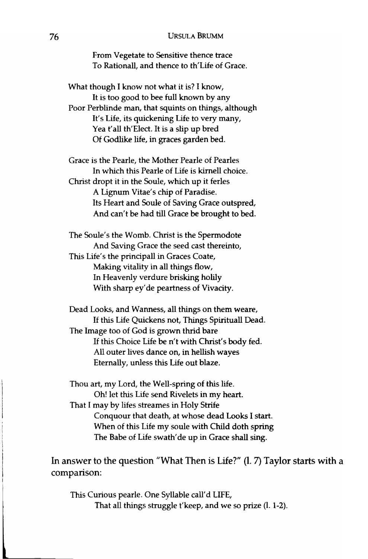From Vegetate to Sensitive thence trace To Rationall, and thence to th'Life of Grace.

What though I know not what it is? I know, It is too good to bee full known by any Poor Perblinde man, that squints on things, although It's Life, its quickening Life to very many, Yea t'all th'Elect. It is a slip up bred Of Godlike life, in graces garden bed.

Grace is the Pearle, the Mother Pearle of Pearles In which this Pearle of Life is kirnell choice. Christ dropt it in the Soule, which up it ferles A Lignum Vitae's chip of Paradise. Its Heart and Soule of Saving Grace outspred, And can't be had till Grace be brought to bed.

The Soule's the Womb. Christ is the Spermodote And Saving Grace the seed cast thereinto, This Life's the principall in Graces Coate, Making vitality in all things flow, In Heavenly verdure brisking holily With sharp ey'de peartness of Vivacity.

Dead Looks, and Wanness, all things on them weare, If this Life Quickens not, Things Spirituall Dead. The Image too of God is grown thrid bare If this Choice Life be n't with Christ's body fed. All outer lives dance on, in hellish wayes Eternally, unless this Life out blaze.

Thou art, my Lord, the Well-spring of this life. Oh! let this Life send Rivelets in my heart. That I may by lifes streames in Holy Strife Conquour that death, at whose dead Looks I start. When of this Life my soule with Child doth spring The Babe of Life swath'de up in Grace shall sing.

In answer to the question "What Then is Life?" (l. 7) Taylor starts with a comparison:

This Curious pearle. One Syllable call'd LIFE, That all things struggle t'keep, and we so prize (1. 1-2).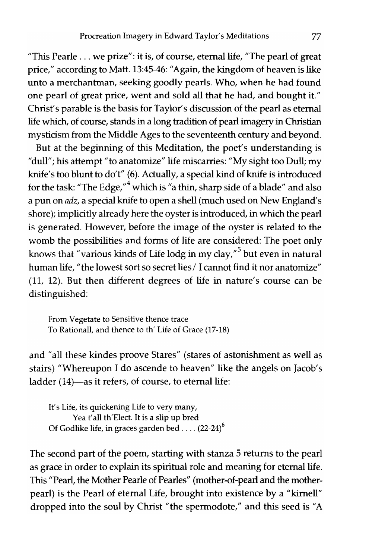"This Pearle ... we prize": it is, of course, eternal life, "The pearl of great price," according to Matt. 13:45-46: "Again, the kingdom of heaven is like unto a merchantman, seeking goodly pearls. Who, when he had found one pearl of great price, went and sold all that he had, and bought it." Christ's parable is the basis for Taylor's discussion of the pearl as eternal life which, of course, stands in a long tradition of pearl imagery in Christian mysticism from the Middle Ages to the seventeenth century and beyond.

But at the beginning of this Meditation, the poet's understanding is "dull"; his attempt "to anatomize" life miscarries: "My sight too Dull; my knife's too blunt to do't" (6). Actually, a special kind of knife is introduced for the task: "The Edge," $4$  which is "a thin, sharp side of a blade" and also a pun on *adz,* a special knife to open a shell (much used on New England's shore); implicitly already here the oyster is introduced, in which the pearl is generated. However, before the image of the oyster is related to the womb the possibilities and forms of life are considered: The poet only knows that "various kinds of Life lodg in my clay,"<sup>5</sup> but even in natural human life, "the lowest sort so secret lies / I cannot find it nor anatomize" (11, 12). But then different degrees of life in nature's course can be distinguished:

From Vegetate to Sensitive thence trace To Rational!, and thence to th' Life of Grace (17-18)

and "all these kindes proove Stares" (stares of astonishment as well as stairs) "Whereupon I do ascende to heaven" like the angels on Jacob's ladder (14)-as it refers, of course, to eternal life:

It's Life, its quickening Life to very many, Yea t'all th'Elect. It is a slip up bred Of Godlike life, in graces garden bed  $\dots$  (22-24)<sup>6</sup>

The second part of the poem, starting with stanza 5 returns to the pearl as grace in order to explain its spiritual role and meaning for eternal life. This "Pearl, the Mother Pearle of Pearles" (mother-of-pearl and the motherpearl) is the Pearl of eternal Life, brought into existence by a "kirnell" dropped into the soul by Christ "the spermodote," and this seed is "A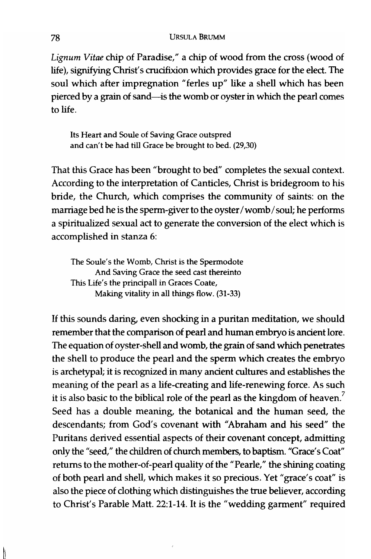*Lignum Vitae* chip of Paradise," a chip of wood from the cross (wood of life), signifying Christ's crucifixion which provides grace for the elect. The soul which after impregnation "ferles up" like a shell which has been pierced by a grain of sand-is the womb or oyster in which the pearl comes to life.

Its Heart and Soule of Saving Grace outspred and can't be had till Grace be brought to bed. (29,30)

That this Grace has been "brought to bed" completes the sexual context. According to the interpretation of Canticles, Christ is bridegroom to his bride, the Church, which comprises the community of saints: on the marriage bed he is the sperm-giver to the oyster / womb / soul; he performs a spiritualized sexual act to generate the conversion of the elect which is accomplished in stanza 6:

The Soule's the Womb, Christ is the Spermodote And Saving Grace the seed cast thereinto This Life's the principall in Graces Coate, Making vitality in all things flow. (31-33)

If this sounds daring, even shocking in a puritan meditation, we should remember that the comparison of pearl and human embryo is ancient lore. The equation of oyster-shell and womb, the grain of sand which penetrates the shell to produce the pearl and the sperm which creates the embryo is archetypal; it is recognized in many ancient cultures and establishes the meaning of the pearl as a life-creating and life-renewing force. As such it is also basic to the biblical role of the pearl as the kingdom of heaven.<sup>7</sup> Seed has a double meaning, the botanical and the human seed, the descendants; from God's covenant with "Abraham and his seed" the Puritans derived essential aspects of their covenant concept, admitting only the "seed," the children of church members, to baptism. "Grace's Coat" returns to the mother-of-pearl quality of the "Pearle," the shining coating of both pearl and shell, which makes it so precious. Yet "grace's coat" is also the piece of clothing which distinguishes the true believer, according to Christ's Parable Matt. 22:1-14. It is the "wedding garment" required

h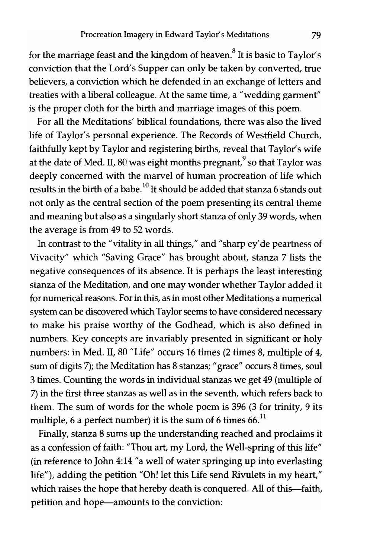for the marriage feast and the kingdom of heaven. $^8$  It is basic to Taylor's conviction that the Lord's Supper can only be taken by converted, true believers, a conviction which he defended in an exchange of letters and treaties with a liberal colleague. At the same time, a "wedding garment" is the proper cloth for the birth and marriage images of this poem.

For all the Meditations' biblical foundations, there was also the lived life of Taylor's personal experience. The Records of Westfield Church, faithfully kept by Taylor and registering births, reveal that Taylor's wife at the date of Med. II, 80 was eight months pregnant, $\frac{9}{5}$  so that Taylor was deeply concerned with the marvel of human procreation of life which results in the birth of a babe.<sup>10</sup> It should be added that stanza 6 stands out not only as the central section of the poem presenting its central theme and meaning but also as a singularly short stanza of only 39 words, when the average is from 49 to 52 words.

In contrast to the "vitality in all things," and "sharp ey'de peartness of Vivacity" which "Saving Grace" has brought about, stanza 7 lists the negative consequences of its absence. It is perhaps the least interesting stanza of the Meditation, and one may wonder whether Taylor added it for numerical reasons. For in this, as in most other Meditations a numerical system can be discovered which Taylor seems to have considered necessary to make his praise worthy of the Godhead, which is also defined in numbers. Key concepts are invariably presented in significant or holy numbers: in Med. 11, 80 "Life" occurs 16 times (2 times 8, multiple of 4, sum of digits 7); the Meditation has 8 stanzas; "grace" occurs 8 times, soul 3 times. Counting the words in individual stanzas we get 49 (multiple of 7) in the first three stanzas as well as in the seventh, which refers back to them. The sum of words for the whole poem is 396 (3 for trinity, 9 its multiple, 6 a perfect number) it is the sum of 6 times  $66$ .<sup>11</sup>

Finally, stanza 8 sums up the understanding reached and proclaims it as a confession of faith: "Thou art, my Lord, the Well-spring of this life" (in reference to John 4:14 "a well of water springing up into everlasting life"), adding the petition "Oh! let this Life send Rivulets in my heart," which raises the hope that hereby death is conquered. All of this-faith, petition and hope-amounts to the conviction: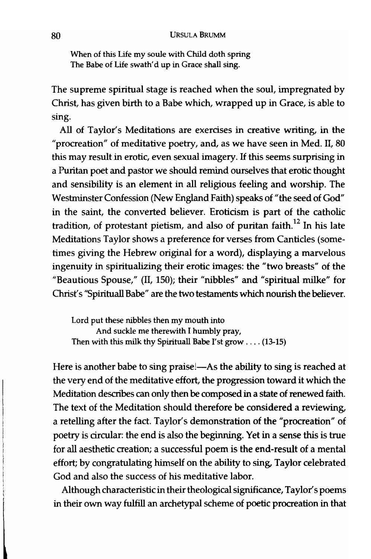When of this Life my soule with Child doth spring The Babe of Life swath'd up in Grace shall sing.

The supreme spiritual stage is reached when the soul, impregnated by Christ, has given birth to a Babe which, wrapped up in Grace, is able to sing.

All of Taylor's Meditations are exercises in creative writing, in the "procreation" of meditative poetry, and, as we have seen in Med. Il, 80 this may result in erotic, even sexual imagery. If this seems surprising in a Puritan poet and pastor we should remind ourselves that erotic thought and sensibility is an element in all religious feeling and worship. The Westminster Confession (New England Faith) speaks of "the seed of God" in the saint, the converted believer. Eroticism is part of the catholic tradition, of protestant pietism, and also of puritan faith.<sup>12</sup> In his late Meditations Taylor shows a preference for verses from Canticles (sometimes giving the Hebrew original for a word), displaying a marvelous ingenuity in spiritualizing their erotic images: the "two breasts" of the "Beautious Spouse," (11, 150); their "nibbles" and "spiritual milke" for Christ's "Spirituall Babe" are the two testaments which nourish the believer.

Lord put these nibbles then my mouth into And suckle me therewith I humbly pray, Then with this milk thy Spirituall Babe I'st grow .... (13-15)

Here is another babe to sing praise!--As the ability to sing is reached at the very end of the meditative effort, the progression toward it which the Meditation describes can only then be composed in a state of renewed faith. The text of the Meditation should therefore be considered a reviewing, a retelling after the fact. Taylor's demonstration of the "procreation" of poetry is circular: the end is also the beginning. Yet in a sense this is true for all aesthetic creation; a successful poem is the end-result of a mental effort; by congratulating himself on the ability to sing, Taylor celebrated God and also the success of his meditative labor.

Although characteristic in their theological significance, Taylor's poems in their own way fulfill an archetypal scheme of poetic procreation in that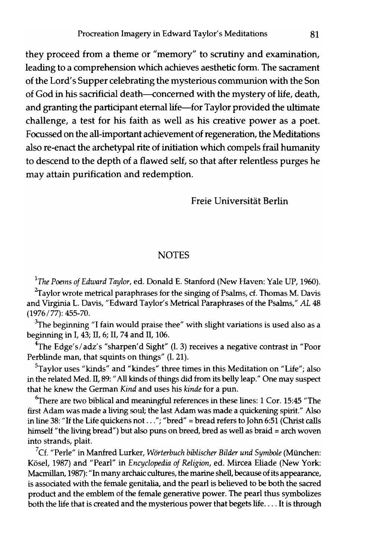they proceed from a theme or "memory" to scrutiny and examination, leading to a comprehension which achieves aesthetic form. The sacrament of the Lord's Supper celebrating the mysterious communion with the Son of God in his sacrificial death-concerned with the mystery of life, death, and granting the participant eternal life-for Taylor provided the ultimate challenge, a test for his faith as well as his creative power as a poet. Focussed on the all-important achievement of regeneration, the Meditations also re-enact the archetypal rite of initiation which compels frail humanity to descend to the depth of a flawed self, so that after relentless purges he may attain purification and redemption.

Freie Universitat Berlin

## **NOTES**

*IThe Poems of Edward Taylor,* ed. Donald E. Stanford (New Haven: Yale UP, 1960).

 $2$ Taylor wrote metrical paraphrases for the singing of Psalms, cf. Thomas M. Davis and Virginia L. Davis, "Edward Taylor's Metrical Paraphrases of the Psalms," *AL 48*  (1976/77): 455-70.

 $3$ The beginning "I fain would praise thee" with slight variations is used also as a beginning in I, 43; Il, 6; 11, 74 and 11, 106.

<sup>4</sup>The Edge's/adz's "sharpen'd Sight" (l. 3) receives a negative contrast in "Poor Perblinde man, that squints on things" (l. 21).

 $5$ Taylor uses "kinds" and "kindes" three times in this Meditation on "Life"; also in the related Med. Il, 89: " All kinds of things did from its belly leap." One may suspect that he knew the German *Kind* and uses his *kinde* for a pun.

 $6$ There are two biblical and meaningful references in these lines: 1 Cor. 15:45 "The first Adam was made a living soul; the last Adam was made a quickening spirit." Also in line 38: "If the Life quickens not ... "; "bred" = bread refers to John 6:51 (Christ calls himself" the living bread") but also puns on breed, bred as well as braid = arch woven into strands, plait.

<sup>7</sup>Cf. "Perle" in Manfred Lurker, Wörterbuch biblischer Bilder und Symbole (München: K6sel, 1987) and "Pearl" in *Encyclopedia of Religion,* ed. Mircea Eliade (New York: Macmillan, 1987): "In many archaic cultures, the marine shell, because of its appearance, is associated with the female genitalia, and the pearl is believed to be both the sacred product and the emblem of the female generative power. The pearl thus symbolizes both the life that is created and the mysterious power that begets life.... It is through